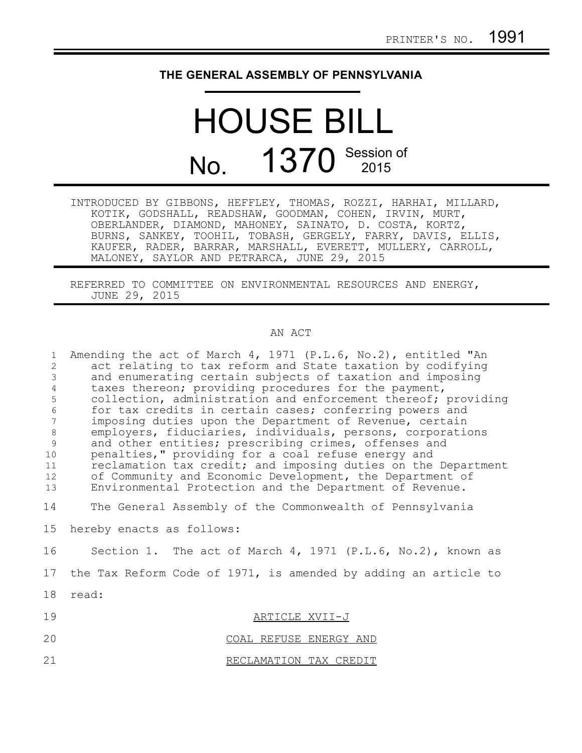## **THE GENERAL ASSEMBLY OF PENNSYLVANIA**

## HOUSE BILL No. 1370 Session of

| INTRODUCED BY GIBBONS, HEFFLEY, THOMAS, ROZZI, HARHAI, MILLARD, |
|-----------------------------------------------------------------|
| KOTIK, GODSHALL, READSHAW, GOODMAN, COHEN, IRVIN, MURT,         |
| OBERLANDER, DIAMOND, MAHONEY, SAINATO, D. COSTA, KORTZ,         |
| BURNS, SANKEY, TOOHIL, TOBASH, GERGELY, FARRY, DAVIS, ELLIS,    |
| KAUFER, RADER, BARRAR, MARSHALL, EVERETT, MULLERY, CARROLL,     |
| MALONEY, SAYLOR AND PETRARCA, JUNE 29, 2015                     |

REFERRED TO COMMITTEE ON ENVIRONMENTAL RESOURCES AND ENERGY, JUNE 29, 2015

## AN ACT

| $\mathbf{1}$<br>$\overline{c}$<br>$\mathcal{E}$<br>$\sqrt{4}$<br>5<br>$\sqrt{6}$<br>7<br>$\,8\,$<br>9<br>10<br>11<br>12 <sup>°</sup><br>13 | Amending the act of March 4, 1971 (P.L.6, No.2), entitled "An<br>act relating to tax reform and State taxation by codifying<br>and enumerating certain subjects of taxation and imposing<br>taxes thereon; providing procedures for the payment,<br>collection, administration and enforcement thereof; providing<br>for tax credits in certain cases; conferring powers and<br>imposing duties upon the Department of Revenue, certain<br>employers, fiduciaries, individuals, persons, corporations<br>and other entities; prescribing crimes, offenses and<br>penalties," providing for a coal refuse energy and<br>reclamation tax credit; and imposing duties on the Department<br>of Community and Economic Development, the Department of<br>Environmental Protection and the Department of Revenue. |
|--------------------------------------------------------------------------------------------------------------------------------------------|-------------------------------------------------------------------------------------------------------------------------------------------------------------------------------------------------------------------------------------------------------------------------------------------------------------------------------------------------------------------------------------------------------------------------------------------------------------------------------------------------------------------------------------------------------------------------------------------------------------------------------------------------------------------------------------------------------------------------------------------------------------------------------------------------------------|
| 14                                                                                                                                         | The General Assembly of the Commonwealth of Pennsylvania                                                                                                                                                                                                                                                                                                                                                                                                                                                                                                                                                                                                                                                                                                                                                    |
| 15                                                                                                                                         | hereby enacts as follows:                                                                                                                                                                                                                                                                                                                                                                                                                                                                                                                                                                                                                                                                                                                                                                                   |
| 16                                                                                                                                         | Section 1. The act of March 4, 1971 (P.L.6, No.2), known as                                                                                                                                                                                                                                                                                                                                                                                                                                                                                                                                                                                                                                                                                                                                                 |
| 17                                                                                                                                         | the Tax Reform Code of 1971, is amended by adding an article to                                                                                                                                                                                                                                                                                                                                                                                                                                                                                                                                                                                                                                                                                                                                             |
| 18                                                                                                                                         | read:                                                                                                                                                                                                                                                                                                                                                                                                                                                                                                                                                                                                                                                                                                                                                                                                       |
| 19                                                                                                                                         | ARTICLE XVII-J                                                                                                                                                                                                                                                                                                                                                                                                                                                                                                                                                                                                                                                                                                                                                                                              |
| 20                                                                                                                                         | COAL REFUSE ENERGY AND                                                                                                                                                                                                                                                                                                                                                                                                                                                                                                                                                                                                                                                                                                                                                                                      |
| 21                                                                                                                                         | RECLAMATION TAX CREDIT                                                                                                                                                                                                                                                                                                                                                                                                                                                                                                                                                                                                                                                                                                                                                                                      |
|                                                                                                                                            |                                                                                                                                                                                                                                                                                                                                                                                                                                                                                                                                                                                                                                                                                                                                                                                                             |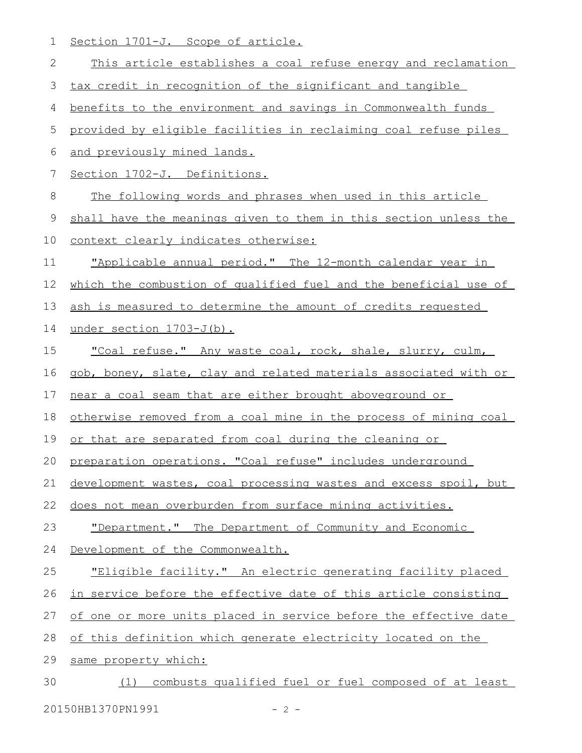1 Section 1701-J. Scope of article.

| 2  | This article establishes a coal refuse energy and reclamation    |
|----|------------------------------------------------------------------|
| 3  | tax credit in recognition of the significant and tangible        |
| 4  | benefits to the environment and savings in Commonwealth funds    |
| 5  | provided by eligible facilities in reclaiming coal refuse piles  |
| 6  | and previously mined lands.                                      |
| 7  | Section 1702-J. Definitions.                                     |
| 8  | The following words and phrases when used in this article        |
| 9  | shall have the meanings given to them in this section unless the |
| 10 | context clearly indicates otherwise:                             |
| 11 | "Applicable annual period." The 12-month calendar year in        |
| 12 | which the combustion of qualified fuel and the beneficial use of |
| 13 | ash is measured to determine the amount of credits requested     |
| 14 | under section 1703-J(b).                                         |
| 15 | "Coal refuse." Any waste coal, rock, shale, slurry, culm,        |
| 16 | gob, boney, slate, clay and related materials associated with or |
| 17 | near a coal seam that are either brought aboveground or          |
| 18 | otherwise removed from a coal mine in the process of mining coal |
| 19 | or that are separated from coal during the cleaning or           |
| 20 | preparation operations. "Coal refuse" includes underground       |
| 21 | development wastes, coal processing wastes and excess spoil, but |
| 22 | does not mean overburden from surface mining activities.         |
| 23 | "Department." The Department of Community and Economic           |
| 24 | Development of the Commonwealth.                                 |
| 25 | "Eligible facility." An electric generating facility placed      |
| 26 | in service before the effective date of this article consisting  |
| 27 | of one or more units placed in service before the effective date |
| 28 | of this definition which generate electricity located on the     |
| 29 | same property which:                                             |
| 30 | combusts qualified fuel or fuel composed of at least<br>(1)      |
|    |                                                                  |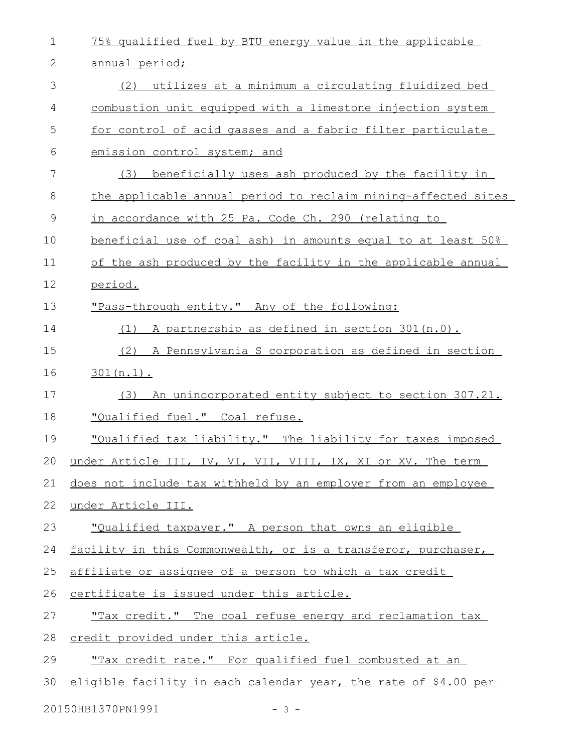| $\mathbf 1$ | 75% qualified fuel by BTU energy value in the applicable        |
|-------------|-----------------------------------------------------------------|
| 2           | annual period;                                                  |
| 3           | (2) utilizes at a minimum a circulating fluidized bed           |
| 4           | combustion unit equipped with a limestone injection system      |
| 5           | for control of acid gasses and a fabric filter particulate      |
| 6           | emission control system; and                                    |
| 7           | (3)<br>beneficially uses ash produced by the facility in        |
| 8           | the applicable annual period to reclaim mining-affected sites   |
| 9           | in accordance with 25 Pa. Code Ch. 290 (relating to             |
| 10          | beneficial use of coal ash) in amounts equal to at least 50%    |
| 11          | of the ash produced by the facility in the applicable annual    |
| 12          | period.                                                         |
| 13          | "Pass-through entity." Any of the following:                    |
| 14          | A partnership as defined in section 301 (n.0).<br>(1)           |
| 15          | (2) A Pennsylvania S corporation as defined in section          |
| 16          | $301(n.1)$ .                                                    |
| 17          | An unincorporated entity subject to section 307.21.<br>(3)      |
| 18          | "Qualified fuel." Coal refuse.                                  |
| 19          | "Qualified tax liability." The liability for taxes imposed      |
|             | 20 under Article III, IV, VI, VII, VIII, IX, XI or XV. The term |
| 21          | does not include tax withheld by an employer from an employee   |
| 22          | under Article III.                                              |
| 23          | "Qualified taxpayer." A person that owns an eligible            |
| 24          | facility in this Commonwealth, or is a transferor, purchaser,   |
| 25          | affiliate or assignee of a person to which a tax credit         |
| 26          | certificate is issued under this article.                       |
| 27          | "Tax credit." The coal refuse energy and reclamation tax        |
| 28          | credit provided under this article.                             |
| 29          | "Tax credit rate." For qualified fuel combusted at an           |
| 30          | eligible facility in each calendar year, the rate of \$4.00 per |
|             | 20150HB1370PN1991<br>$-3-$                                      |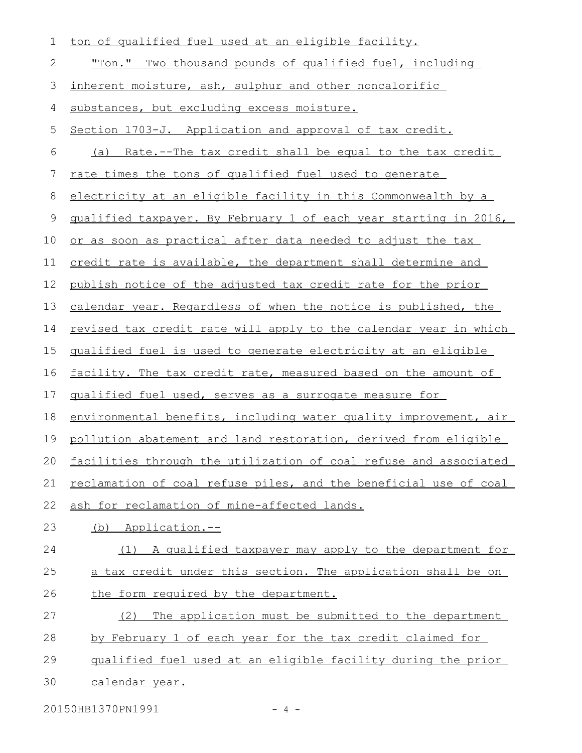| 1           | ton of qualified fuel used at an eligible facility.                   |
|-------------|-----------------------------------------------------------------------|
| 2           | "Ton." Two thousand pounds of qualified fuel, including               |
| 3           | inherent moisture, ash, sulphur and other noncalorific                |
| 4           | substances, but excluding excess moisture.                            |
| 5           | Section 1703-J. Application and approval of tax credit.               |
| 6           | (a) Rate.--The tax credit shall be equal to the tax credit            |
| 7           | <u>rate times the tons of qualified fuel used to generate</u>         |
| 8           | electricity at an eligible facility in this Commonwealth by a         |
| $\mathsf 9$ | qualified taxpayer. By February 1 of each year starting in 2016,      |
| 10          | or as soon as practical after data needed to adjust the tax           |
| 11          | credit rate is available, the department shall determine and          |
| 12          | publish notice of the adjusted tax credit rate for the prior          |
| 13          | calendar year. Regardless of when the notice is published, the        |
| 14          | revised tax credit rate will apply to the calendar year in which      |
| 15          | qualified fuel is used to generate electricity at an eligible         |
| 16          | <u>facility. The tax credit rate, measured based on the amount of</u> |
| 17          | qualified fuel used, serves as a surrogate measure for                |
| 18          | environmental benefits, including water quality improvement, air      |
| 19          | pollution abatement and land restoration, derived from eligible       |
| 20          | facilities through the utilization of coal refuse and associated      |
| 21          | reclamation of coal refuse piles, and the beneficial use of coal      |
| 22          | ash for reclamation of mine-affected lands.                           |
| 23          | (b) Application.--                                                    |
| 24          | (1) A qualified taxpayer may apply to the department for              |
| 25          | a tax credit under this section. The application shall be on          |
| 26          | the form required by the department.                                  |
| 27          | The application must be submitted to the department<br>(2)            |
| 28          | by February 1 of each year for the tax credit claimed for             |
| 29          | qualified fuel used at an eligible facility during the prior          |
| 30          | calendar year.                                                        |
|             | 20150HB1370PN1991<br>$-4-$                                            |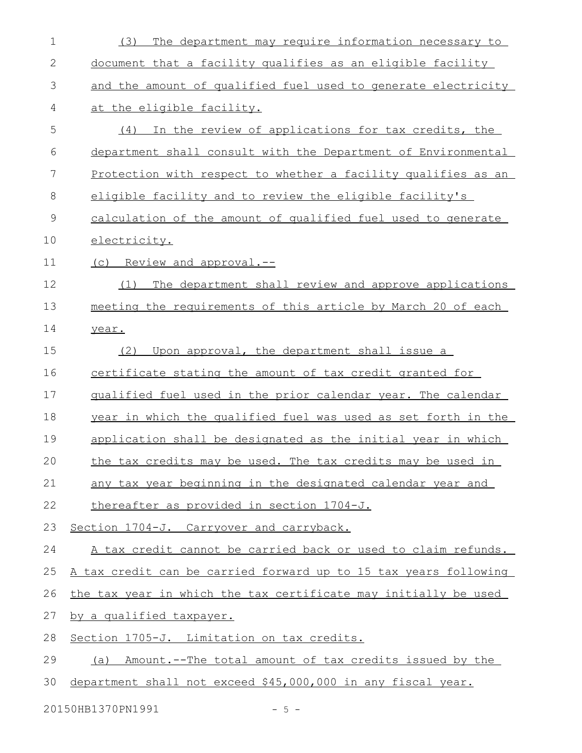| $\mathbf 1$ | The department may require information necessary to<br>(3)           |
|-------------|----------------------------------------------------------------------|
| 2           | document that a facility qualifies as an eligible facility           |
| 3           | and the amount of qualified fuel used to generate electricity        |
| 4           | at the eligible facility.                                            |
| 5           | (4) In the review of applications for tax credits, the               |
| 6           | department shall consult with the Department of Environmental        |
| 7           | <u>Protection with respect to whether a facility qualifies as an</u> |
| 8           | eligible facility and to review the eligible facility's              |
| 9           | calculation of the amount of qualified fuel used to generate         |
| 10          | electricity.                                                         |
| 11          | (c) Review and approval.--                                           |
| 12          | The department shall review and approve applications<br>(1)          |
| 13          | meeting the requirements of this article by March 20 of each         |
| 14          | year.                                                                |
| 15          | Upon approval, the department shall issue a<br>(2)                   |
| 16          | certificate stating the amount of tax credit granted for             |
| 17          | qualified fuel used in the prior calendar year. The calendar         |
| 18          | year in which the qualified fuel was used as set forth in the        |
| 19          | application shall be designated as the initial year in which         |
| 20          | the tax credits may be used. The tax credits may be used in          |
| 21          | any tax year beginning in the designated calendar year and           |
| 22          | thereafter as provided in section 1704-J.                            |
| 23          | Section 1704-J. Carryover and carryback.                             |
| 24          | A tax credit cannot be carried back or used to claim refunds.        |
| 25          | A tax credit can be carried forward up to 15 tax years following     |
| 26          | the tax year in which the tax certificate may initially be used      |
| 27          | by a qualified taxpayer.                                             |
| 28          | Section 1705-J. Limitation on tax credits.                           |
| 29          | Amount.--The total amount of tax credits issued by the<br>(a)        |
| 30          | department shall not exceed \$45,000,000 in any fiscal year.         |
|             |                                                                      |

20150HB1370PN1991 - 5 -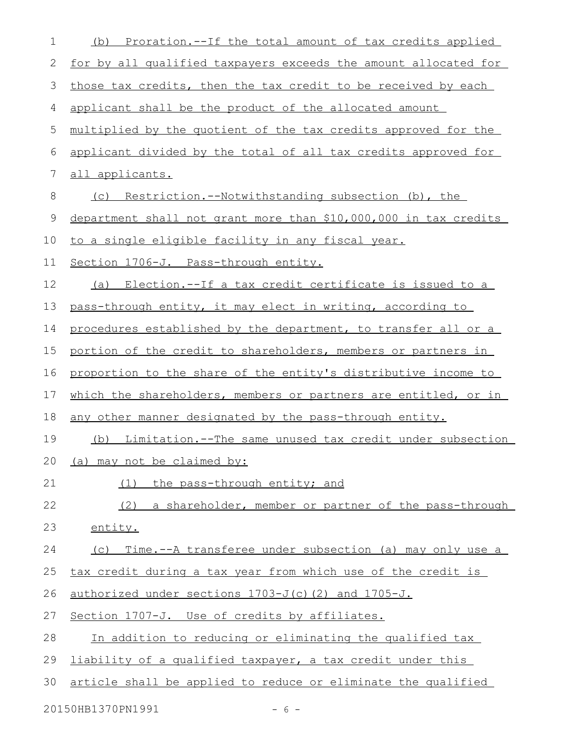| 1              | Proration.--If the total amount of tax credits applied<br>(b)    |
|----------------|------------------------------------------------------------------|
| 2              | for by all qualified taxpayers exceeds the amount allocated for  |
| 3              | those tax credits, then the tax credit to be received by each    |
| 4              | applicant shall be the product of the allocated amount           |
| 5              | multiplied by the quotient of the tax credits approved for the   |
| 6              | applicant divided by the total of all tax credits approved for   |
| $\overline{7}$ | all applicants.                                                  |
| 8              | (c) Restriction.--Notwithstanding subsection (b), the            |
| 9              | department shall not grant more than \$10,000,000 in tax credits |
| 10             | to a single eligible facility in any fiscal year.                |
| 11             | Section 1706-J. Pass-through entity.                             |
| 12             | (a) Election.--If a tax credit certificate is issued to a        |
| 13             | pass-through entity, it may elect in writing, according to       |
| 14             | procedures established by the department, to transfer all or a   |
| 15             | portion of the credit to shareholders, members or partners in    |
| 16             | proportion to the share of the entity's distributive income to   |
| 17             | which the shareholders, members or partners are entitled, or in  |
| 18             | any other manner designated by the pass-through entity.          |
| 19             | (b) Limitation.--The same unused tax credit under subsection     |
| 20             | (a) may not be claimed by:                                       |
| 21             | the pass-through entity; and<br>(1)                              |
| 22             | (2)<br>a shareholder, member or partner of the pass-through      |
| 23             | entity.                                                          |
| 24             | Time.--A transferee under subsection (a) may only use a<br>(C)   |
| 25             | tax credit during a tax year from which use of the credit is     |
| 26             | authorized under sections 1703-J(c)(2) and 1705-J.               |
| 27             | Section 1707-J. Use of credits by affiliates.                    |
| 28             | In addition to reducing or eliminating the qualified tax         |
| 29             | liability of a qualified taxpayer, a tax credit under this       |
| 30             | article shall be applied to reduce or eliminate the qualified    |
|                | 20150HB1370PN1991<br>$-6-$                                       |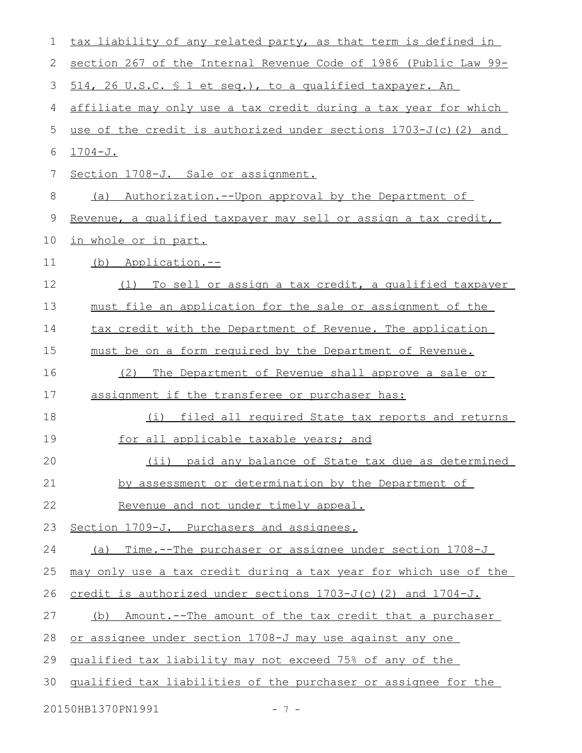| $\mathbf 1$ | tax liability of any related party, as that term is defined in     |
|-------------|--------------------------------------------------------------------|
| 2           | section 267 of the Internal Revenue Code of 1986 (Public Law 99-   |
| 3           | 514, 26 U.S.C. § 1 et seq.), to a qualified taxpayer. An           |
| 4           | affiliate may only use a tax credit during a tax year for which    |
| 5           | use of the credit is authorized under sections $1703-J(c)$ (2) and |
| 6           | $1704 - J.$                                                        |
| 7           | Section 1708-J. Sale or assignment.                                |
| 8           | Authorization.--Upon approval by the Department of<br>(a)          |
| $\mathsf 9$ | Revenue, a qualified taxpayer may sell or assign a tax credit,     |
| 10          | <u>in whole or in part.</u>                                        |
| 11          | (b) Application.--                                                 |
| 12          | To sell or assign a tax credit, a qualified taxpayer<br>(1)        |
| 13          | must file an application for the sale or assignment of the         |
| 14          | tax credit with the Department of Revenue. The application         |
| 15          | must be on a form required by the Department of Revenue.           |
| 16          | (2)<br>The Department of Revenue shall approve a sale or           |
| 17          | assignment if the transferee or purchaser has:                     |
| 18          | filed all required State tax reports and returns<br>(i)            |
| 19          | for all applicable taxable years; and                              |
| 20          | (ii) paid any balance of State tax due as determined               |
| 21          | by assessment or determination by the Department of                |
| 22          | Revenue and not under timely appeal.                               |
| 23          | Section 1709-J. Purchasers and assignees.                          |
| 24          | (a) Time.--The purchaser or assignee under section 1708-J          |
| 25          | may only use a tax credit during a tax year for which use of the   |
| 26          | credit is authorized under sections 1703-J(c)(2) and 1704-J.       |
| 27          | Amount.--The amount of the tax credit that a purchaser<br>(b)      |
| 28          | or assignee under section 1708-J may use against any one           |
| 29          | qualified tax liability may not exceed 75% of any of the           |
| 30          | qualified tax liabilities of the purchaser or assignee for the     |
|             | 20150HB1370PN1991<br>$-7-$                                         |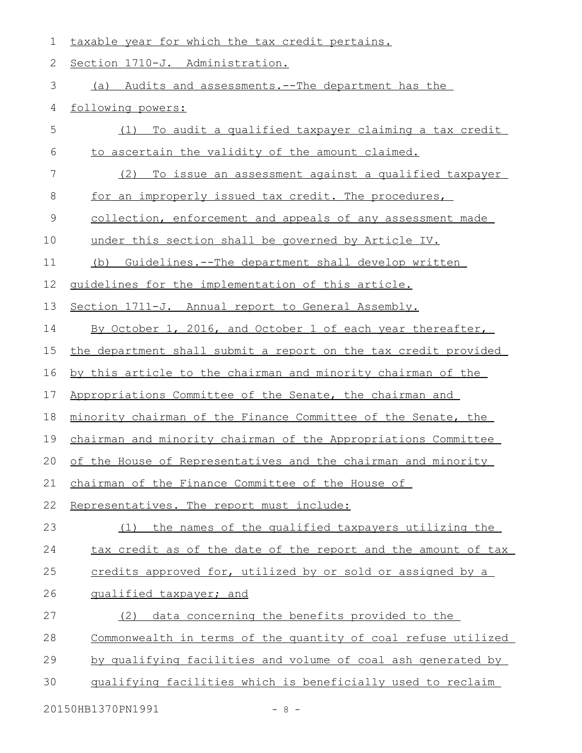1 taxable year for which the tax credit pertains.

2 Section 1710-J. Administration.

(a) Audits and assessments.--The department has the 3

4 following powers:

| 5  | To audit a qualified taxpayer claiming a tax credit<br>(1)      |
|----|-----------------------------------------------------------------|
| 6  | to ascertain the validity of the amount claimed.                |
| 7  | To issue an assessment against a qualified taxpayer<br>(2)      |
| 8  | for an improperly issued tax credit. The procedures,            |
| 9  | collection, enforcement and appeals of any assessment made      |
| 10 | under this section shall be governed by Article IV.             |
| 11 | (b) Guidelines.--The department shall develop written           |
| 12 | guidelines for the implementation of this article.              |
| 13 | Section 1711-J. Annual report to General Assembly.              |
| 14 | By October 1, 2016, and October 1 of each year thereafter,      |
| 15 | the department shall submit a report on the tax credit provided |
| 16 | by this article to the chairman and minority chairman of the    |
| 17 | Appropriations Committee of the Senate, the chairman and        |
| 18 | minority chairman of the Finance Committee of the Senate, the   |
| 19 | chairman and minority chairman of the Appropriations Committee  |
| 20 | of the House of Representatives and the chairman and minority   |
| 21 | chairman of the Finance Committee of the House of               |
| 22 | Representatives. The report must include:                       |
| 23 | the names of the qualified taxpayers utilizing the<br>(1)       |
| 24 | tax credit as of the date of the report and the amount of tax   |
| 25 | credits approved for, utilized by or sold or assigned by a      |
| 26 | qualified taxpayer; and                                         |
| 27 | data concerning the benefits provided to the<br>(2)             |
|    | Commonwealth in terms of the quantity of coal refuse utilized   |
| 28 |                                                                 |
| 29 | by qualifying facilities and volume of coal ash generated by    |

20150HB1370PN1991 - 8 -